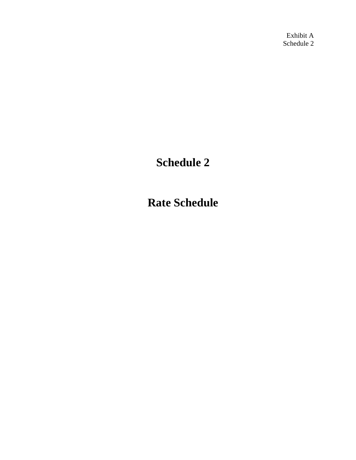Exhibit A Schedule 2

# **Schedule 2**

**Rate Schedule**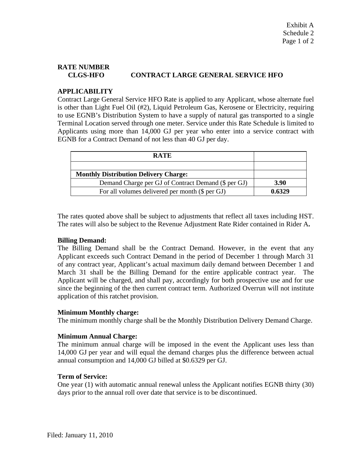## **RATE NUMBER CLGS-HFO CONTRACT LARGE GENERAL SERVICE HFO**

### **APPLICABILITY**

Contract Large General Service HFO Rate is applied to any Applicant, whose alternate fuel is other than Light Fuel Oil (#2), Liquid Petroleum Gas, Kerosene or Electricity, requiring to use EGNB's Distribution System to have a supply of natural gas transported to a single Terminal Location served through one meter. Service under this Rate Schedule is limited to Applicants using more than 14,000 GJ per year who enter into a service contract with EGNB for a Contract Demand of not less than 40 GJ per day.

| <b>RATE</b>                                         |        |
|-----------------------------------------------------|--------|
|                                                     |        |
| <b>Monthly Distribution Delivery Charge:</b>        |        |
| Demand Charge per GJ of Contract Demand (\$ per GJ) | 3.90   |
| For all volumes delivered per month (\$ per GJ)     | 0.6329 |

The rates quoted above shall be subject to adjustments that reflect all taxes including HST. The rates will also be subject to the Revenue Adjustment Rate Rider contained in Rider A**.** 

#### **Billing Demand:**

The Billing Demand shall be the Contract Demand. However, in the event that any Applicant exceeds such Contract Demand in the period of December 1 through March 31 of any contract year, Applicant's actual maximum daily demand between December 1 and March 31 shall be the Billing Demand for the entire applicable contract year. The Applicant will be charged, and shall pay, accordingly for both prospective use and for use since the beginning of the then current contract term. Authorized Overrun will not institute application of this ratchet provision.

#### **Minimum Monthly charge:**

The minimum monthly charge shall be the Monthly Distribution Delivery Demand Charge.

#### **Minimum Annual Charge:**

The minimum annual charge will be imposed in the event the Applicant uses less than 14,000 GJ per year and will equal the demand charges plus the difference between actual annual consumption and 14,000 GJ billed at \$0.6329 per GJ.

#### **Term of Service:**

One year (1) with automatic annual renewal unless the Applicant notifies EGNB thirty (30) days prior to the annual roll over date that service is to be discontinued.